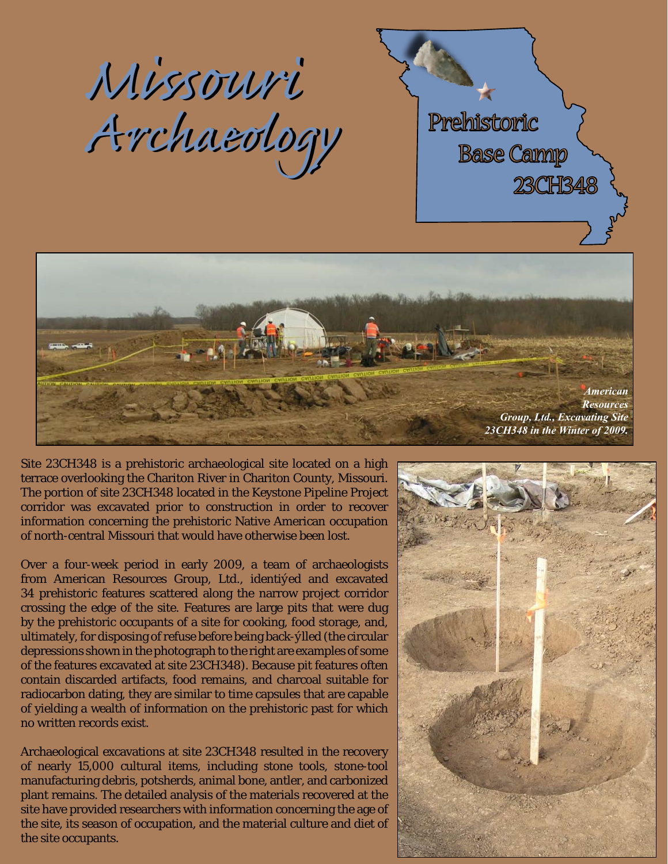





Site 23CH348 is a prehistoric archaeological site located on a high terrace overlooking the Chariton River in Chariton County, Missouri. The portion of site 23CH348 located in the Keystone Pipeline Project corridor was excavated prior to construction in order to recover information concerning the prehistoric Native American occupation of north-central Missouri that would have otherwise been lost.

Over a four-week period in early 2009, a team of archaeologists from American Resources Group, Ltd., identified and excavated 34 prehistoric features scattered along the narrow project corridor crossing the edge of the site. Features are large pits that were dug by the prehistoric occupants of a site for cooking, food storage, and, ultimately, for disposing of refuse before being back-filled (the circular depressions shown in the photograph to the right are examples of some of the features excavated at site 23CH348). Because pit features often contain discarded artifacts, food remains, and charcoal suitable for radiocarbon dating, they are similar to time capsules that are capable of yielding a wealth of information on the prehistoric past for which no written records exist.

Archaeological excavations at site 23CH348 resulted in the recovery of nearly 15,000 cultural items, including stone tools, stone-tool manufacturing debris, potsherds, animal bone, antler, and carbonized plant remains. The detailed analysis of the materials recovered at the site have provided researchers with information concerning the age of the site, its season of occupation, and the material culture and diet of the site occupants.

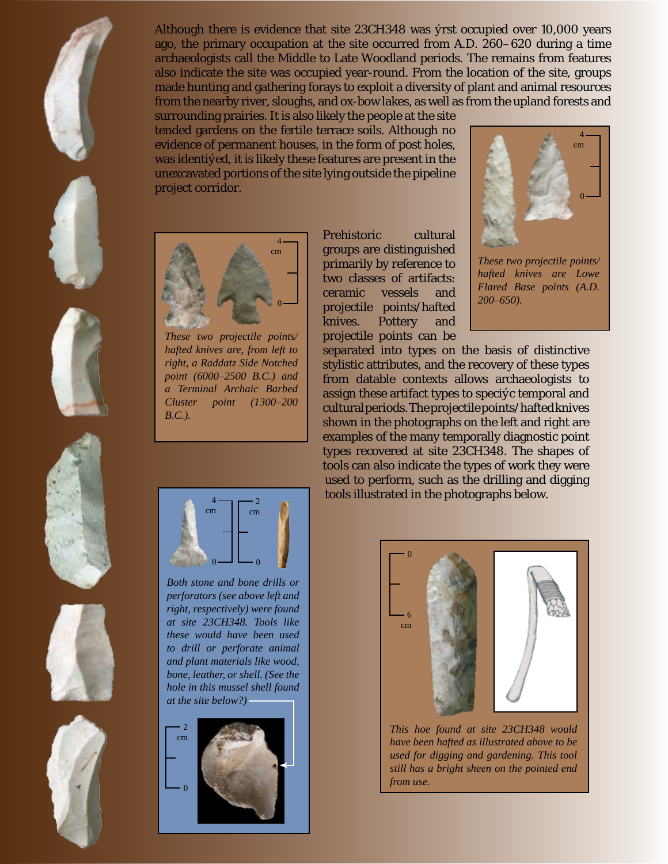











Although there is evidence that site 23CH348 was first occupied over 10,000 years ago, the primary occupation at the site occurred from A.D. 260–620 during a time archaeologists call the Middle to Late Woodland periods. The remains from features also indicate the site was occupied year-round. From the location of the site, groups made hunting and gathering forays to exploit a diversity of plant and animal resources from the nearby river, sloughs, and ox-bow lakes, as well as from the upland forests and

surrounding prairies. It is also likely the people at the site tended gardens on the fertile terrace soils. Although no evidence of permanent houses, in the form of post holes, was identif ed, it is likely these features are present in the unexcavated portions of the site lying outside the pipeline project corridor.



*These two projectile points/ hafted knives are, from left to right, a Raddatz Side Notched point (6000–2500 B.C.) and a Terminal Archaic Barbed Cluster point (1300–200 B.C.).*

Prehistoric cultural groups are distinguished primarily by reference to two classes of artifacts: ceramic vessels and projectile points/hafted knives. Pottery and projectile points can be



*These two projectile points/ hafted knives are Lowe Flared Base points (A.D. 200–650).*

separated into types on the basis of distinctive stylistic attributes, and the recovery of these types from datable contexts allows archaeologists to assign these artifact types to specif c temporal and cultural periods. The projectile points/hafted knives shown in the photographs on the left and right are examples of the many temporally diagnostic point types recovered at site 23CH348. The shapes of tools can also indicate the types of work they were used to perform, such as the drilling and digging tools illustrated in the photographs below.



*Both stone and bone drills or perforators (see above left and right, respectively) were found at site 23CH348. Tools like these would have been used to drill or perforate animal and plant materials like wood, bone, leather, or shell. (See the hole in this mussel shell found at the site below?)*





*This hoe found at site 23CH348 would have been hafted as illustrated above to be used for digging and gardening. This tool still has a bright sheen on the pointed end from use.*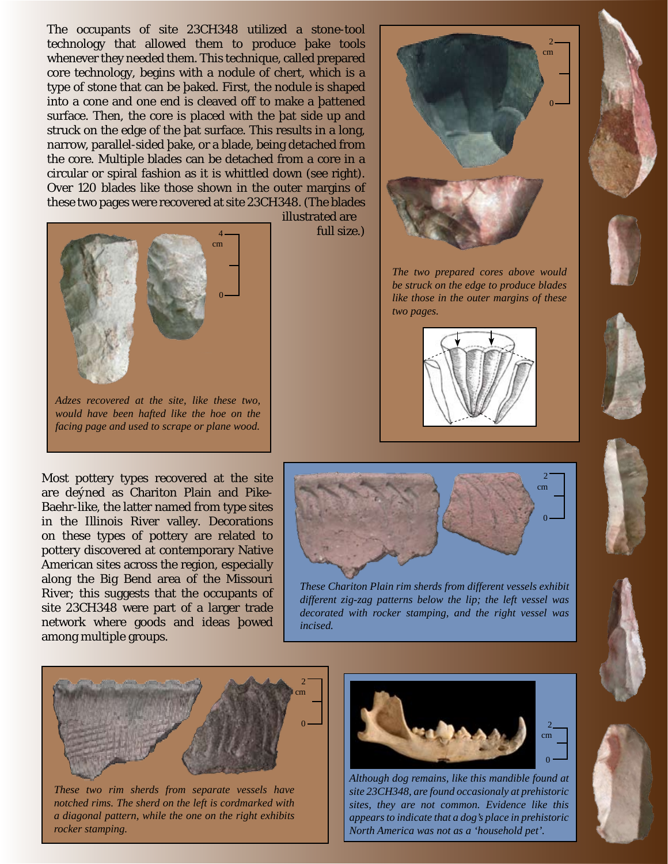The occupants of site 23CH348 utilized a stone-tool technology that allowed them to produce fake tools whenever they needed them. This technique, called prepared core technology, begins with a nodule of chert, which is a type of stone that can be f aked. First, the nodule is shaped into a cone and one end is cleaved off to make a f attened surface. Then, the core is placed with the f at side up and struck on the edge of the f at surface. This results in a long, narrow, parallel-sided f ake, or a blade, being detached from the core. Multiple blades can be detached from a core in a circular or spiral fashion as it is whittled down (see right). Over 120 blades like those shown in the outer margins of these two pages were recovered at site 23CH348. (The blades



*Adzes recovered at the site, like these two, would have been hafted like the hoe on the facing page and used to scrape or plane wood.*

Most pottery types recovered at the site are defined as Chariton Plain and Pike-Baehr-like, the latter named from type sites in the Illinois River valley. Decorations on these types of pottery are related to pottery discovered at contemporary Native American sites across the region, especially along the Big Bend area of the Missouri River; this suggests that the occupants of site 23CH348 were part of a larger trade network where goods and ideas fowed among multiple groups.

illustrated are full size.)



*The two prepared cores above would be struck on the edge to produce blades like those in the outer margins of these two pages.*











*These Chariton Plain rim sherds from different vessels exhibit different zig-zag patterns below the lip; the left vessel was decorated with rocker stamping, and the right vessel was incised.*



*These two rim sherds from separate vessels have notched rims. The sherd on the left is cordmarked with a diagonal pattern, while the one on the right exhibits rocker stamping.*



*Although dog remains, like this mandible found at site 23CH348, are found occasionaly at prehistoric sites, they are not common. Evidence like this appears to indicate that a dog's place in prehistoric North America was not as a 'household pet'.*





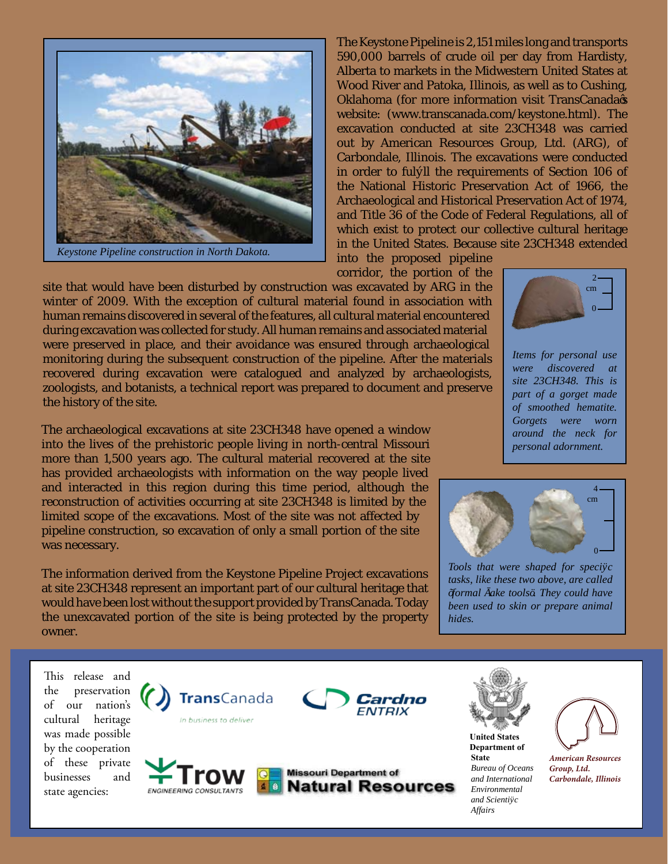

*Keystone Pipeline construction in North Dakota.*

The Keystone Pipeline is 2,151 miles long and transports 590,000 barrels of crude oil per day from Hardisty, Alberta to markets in the Midwestern United States at Wood River and Patoka, Illinois, as well as to Cushing, Oklahoma (for more information visit TransCanada's website: (www.transcanada.com/keystone.html). The excavation conducted at site 23CH348 was carried out by American Resources Group, Ltd. (ARG), of Carbondale, Illinois. The excavations were conducted in order to fulf ll the requirements of Section 106 of the National Historic Preservation Act of 1966, the Archaeological and Historical Preservation Act of 1974, and Title 36 of the Code of Federal Regulations, all of which exist to protect our collective cultural heritage in the United States. Because site 23CH348 extended

into the proposed pipeline corridor, the portion of the

site that would have been disturbed by construction was excavated by ARG in the winter of 2009. With the exception of cultural material found in association with human remains discovered in several of the features, all cultural material encountered during excavation was collected for study. All human remains and associated material were preserved in place, and their avoidance was ensured through archaeological monitoring during the subsequent construction of the pipeline. After the materials recovered during excavation were catalogued and analyzed by archaeologists, zoologists, and botanists, a technical report was prepared to document and preserve the history of the site.

The archaeological excavations at site 23CH348 have opened a window into the lives of the prehistoric people living in north-central Missouri more than 1,500 years ago. The cultural material recovered at the site has provided archaeologists with information on the way people lived and interacted in this region during this time period, although the reconstruction of activities occurring at site 23CH348 is limited by the limited scope of the excavations. Most of the site was not affected by pipeline construction, so excavation of only a small portion of the site was necessary.

The information derived from the Keystone Pipeline Project excavations at site 23CH348 represent an important part of our cultural heritage that would have been lost without the support provided by TransCanada. Today the unexcavated portion of the site is being protected by the property owner.

 $\bf{0}$  $\mathcal{D}$ cm

*Items for personal use were discovered at site 23CH348. This is part of a gorget made of smoothed hematite. Gorgets were worn around the neck for personal adornment.*



*Tools that were shaped for specific tasks, like these two above, are called*  'formal fake tools'. They could have *been used to skin or prepare animal hides.* 

This release and the preservation of our nation's cultural heritage was made possible by the cooperation of these private businesses and state agencies:



**ENGINEERING CONSULTANTS** 



**Missouri Department of Natural Resources** 



**Department of State** *Bureau of Oceans and International Environmental and Scientific Affairs*



*American Resources Group, Ltd. Carbondale, Illinois*